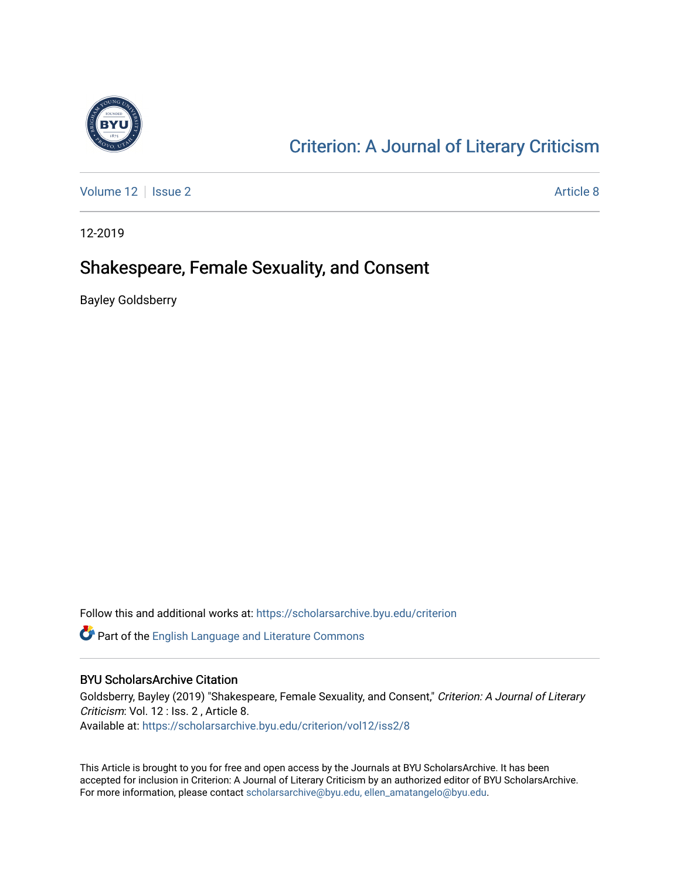

## [Criterion: A Journal of Literary Criticism](https://scholarsarchive.byu.edu/criterion)

[Volume 12](https://scholarsarchive.byu.edu/criterion/vol12) | [Issue 2](https://scholarsarchive.byu.edu/criterion/vol12/iss2) Article 8

12-2019

### Shakespeare, Female Sexuality, and Consent

Bayley Goldsberry

Follow this and additional works at: [https://scholarsarchive.byu.edu/criterion](https://scholarsarchive.byu.edu/criterion?utm_source=scholarsarchive.byu.edu%2Fcriterion%2Fvol12%2Fiss2%2F8&utm_medium=PDF&utm_campaign=PDFCoverPages) 

Part of the [English Language and Literature Commons](http://network.bepress.com/hgg/discipline/455?utm_source=scholarsarchive.byu.edu%2Fcriterion%2Fvol12%2Fiss2%2F8&utm_medium=PDF&utm_campaign=PDFCoverPages)

#### BYU ScholarsArchive Citation

Goldsberry, Bayley (2019) "Shakespeare, Female Sexuality, and Consent," Criterion: A Journal of Literary Criticism: Vol. 12 : Iss. 2 , Article 8. Available at: [https://scholarsarchive.byu.edu/criterion/vol12/iss2/8](https://scholarsarchive.byu.edu/criterion/vol12/iss2/8?utm_source=scholarsarchive.byu.edu%2Fcriterion%2Fvol12%2Fiss2%2F8&utm_medium=PDF&utm_campaign=PDFCoverPages)

This Article is brought to you for free and open access by the Journals at BYU ScholarsArchive. It has been accepted for inclusion in Criterion: A Journal of Literary Criticism by an authorized editor of BYU ScholarsArchive. For more information, please contact [scholarsarchive@byu.edu, ellen\\_amatangelo@byu.edu](mailto:scholarsarchive@byu.edu,%20ellen_amatangelo@byu.edu).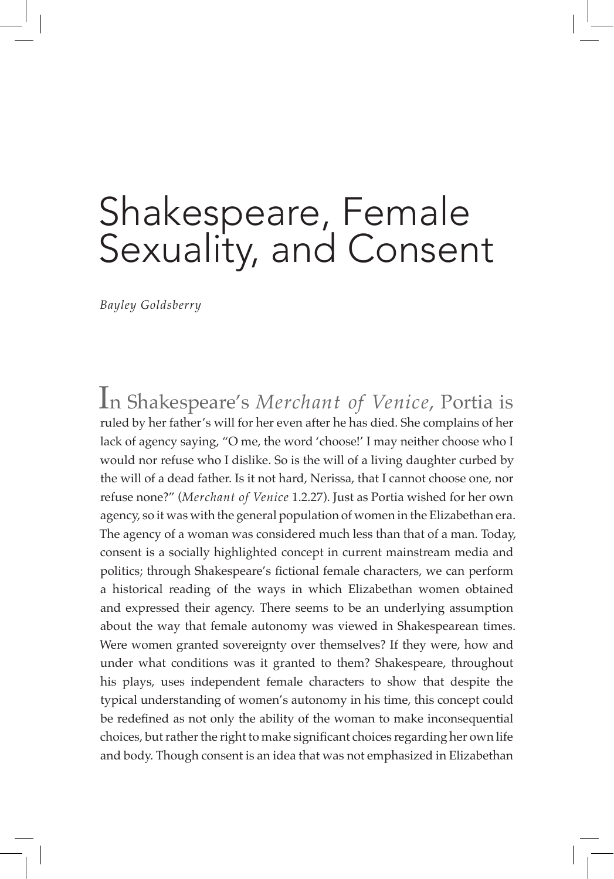# Shakespeare, Female Sexuality, and Consent

*Bayley Goldsberry*

In Shakespeare's *Merchant of Venice*, Portia is ruled by her father's will for her even after he has died. She complains of her lack of agency saying, "O me, the word 'choose!' I may neither choose who I would nor refuse who I dislike. So is the will of a living daughter curbed by the will of a dead father. Is it not hard, Nerissa, that I cannot choose one, nor refuse none?" (*Merchant of Venice* 1.2.27). Just as Portia wished for her own agency, so it was with the general population of women in the Elizabethan era. The agency of a woman was considered much less than that of a man. Today, consent is a socially highlighted concept in current mainstream media and politics; through Shakespeare's fictional female characters, we can perform a historical reading of the ways in which Elizabethan women obtained and expressed their agency. There seems to be an underlying assumption about the way that female autonomy was viewed in Shakespearean times. Were women granted sovereignty over themselves? If they were, how and under what conditions was it granted to them? Shakespeare, throughout his plays, uses independent female characters to show that despite the typical understanding of women's autonomy in his time, this concept could be redefined as not only the ability of the woman to make inconsequential choices, but rather the right to make significant choices regarding her own life and body. Though consent is an idea that was not emphasized in Elizabethan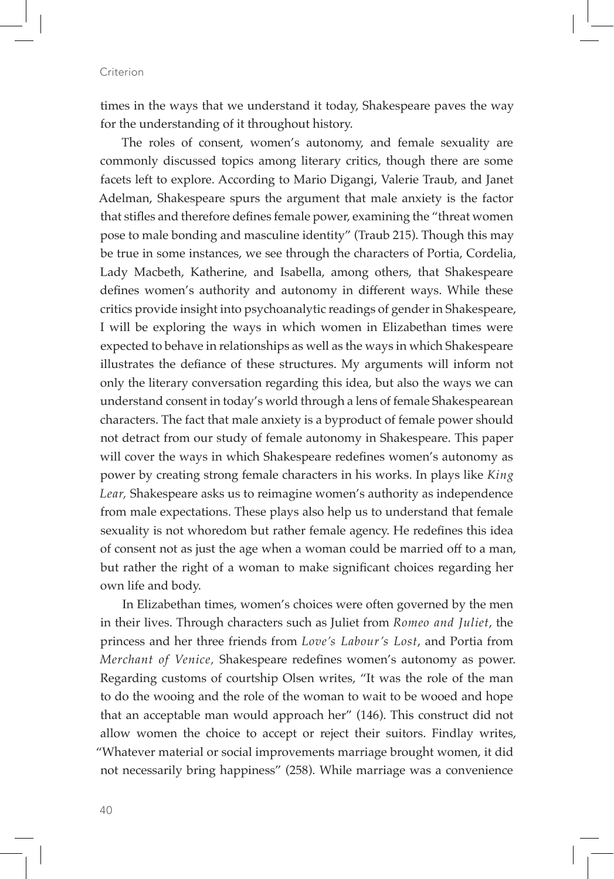times in the ways that we understand it today, Shakespeare paves the way for the understanding of it throughout history.

The roles of consent, women's autonomy, and female sexuality are commonly discussed topics among literary critics, though there are some facets left to explore. According to Mario Digangi, Valerie Traub, and Janet Adelman, Shakespeare spurs the argument that male anxiety is the factor that stifles and therefore defines female power, examining the "threat women pose to male bonding and masculine identity" (Traub 215). Though this may be true in some instances, we see through the characters of Portia, Cordelia, Lady Macbeth, Katherine, and Isabella, among others, that Shakespeare defines women's authority and autonomy in different ways. While these critics provide insight into psychoanalytic readings of gender in Shakespeare, I will be exploring the ways in which women in Elizabethan times were expected to behave in relationships as well as the ways in which Shakespeare illustrates the defiance of these structures. My arguments will inform not only the literary conversation regarding this idea, but also the ways we can understand consent in today's world through a lens of female Shakespearean characters. The fact that male anxiety is a byproduct of female power should not detract from our study of female autonomy in Shakespeare. This paper will cover the ways in which Shakespeare redefines women's autonomy as power by creating strong female characters in his works. In plays like *King Lear,* Shakespeare asks us to reimagine women's authority as independence from male expectations. These plays also help us to understand that female sexuality is not whoredom but rather female agency. He redefines this idea of consent not as just the age when a woman could be married off to a man, but rather the right of a woman to make significant choices regarding her own life and body.

In Elizabethan times, women's choices were often governed by the men in their lives. Through characters such as Juliet from *Romeo and Juliet*, the princess and her three friends from *Love's Labour's Lost*, and Portia from *Merchant of Venice,* Shakespeare redefines women's autonomy as power. Regarding customs of courtship Olsen writes, "It was the role of the man to do the wooing and the role of the woman to wait to be wooed and hope that an acceptable man would approach her" (146). This construct did not allow women the choice to accept or reject their suitors. Findlay writes, "Whatever material or social improvements marriage brought women, it did not necessarily bring happiness" (258). While marriage was a convenience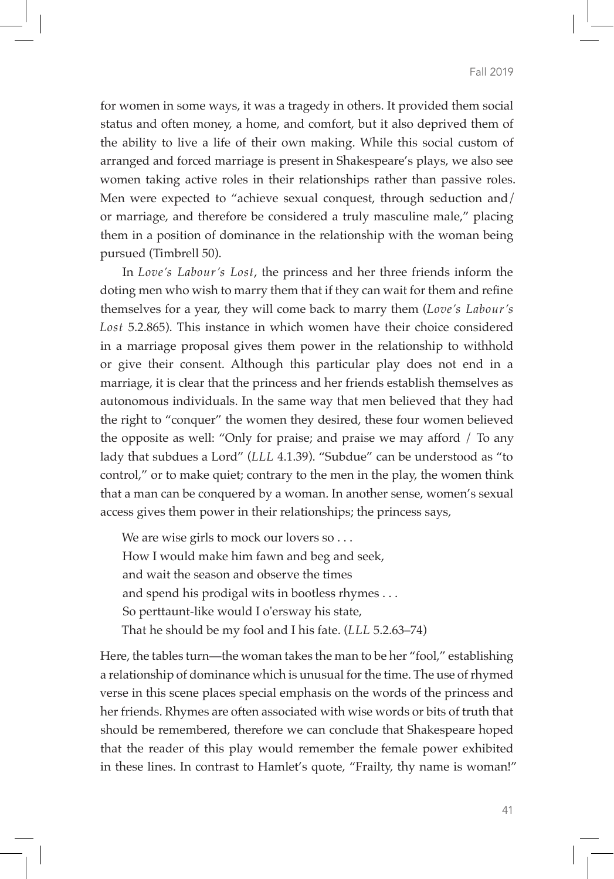for women in some ways, it was a tragedy in others. It provided them social status and often money, a home, and comfort, but it also deprived them of the ability to live a life of their own making. While this social custom of arranged and forced marriage is present in Shakespeare's plays, we also see women taking active roles in their relationships rather than passive roles. Men were expected to "achieve sexual conquest, through seduction and/ or marriage, and therefore be considered a truly masculine male," placing them in a position of dominance in the relationship with the woman being pursued (Timbrell 50).

In *Love's Labour's Lost*, the princess and her three friends inform the doting men who wish to marry them that if they can wait for them and refine themselves for a year, they will come back to marry them (*Love's Labour's Lost* 5.2.865). This instance in which women have their choice considered in a marriage proposal gives them power in the relationship to withhold or give their consent. Although this particular play does not end in a marriage, it is clear that the princess and her friends establish themselves as autonomous individuals. In the same way that men believed that they had the right to "conquer" the women they desired, these four women believed the opposite as well: "Only for praise; and praise we may afford / To any lady that subdues a Lord" (*LLL* 4.1.39). "Subdue" can be understood as "to control," or to make quiet; contrary to the men in the play, the women think that a man can be conquered by a woman. In another sense, women's sexual access gives them power in their relationships; the princess says,

We are wise girls to mock our lovers so . . . How I would make him fawn and beg and seek, and wait the season and observe the times and spend his prodigal wits in bootless rhymes . . . So perttaunt-like would I o'ersway his state, That he should be my fool and I his fate. (*LLL* 5.2.63–74)

Here, the tables turn—the woman takes the man to be her "fool," establishing a relationship of dominance which is unusual for the time. The use of rhymed verse in this scene places special emphasis on the words of the princess and her friends. Rhymes are often associated with wise words or bits of truth that should be remembered, therefore we can conclude that Shakespeare hoped that the reader of this play would remember the female power exhibited in these lines. In contrast to Hamlet's quote, "Frailty, thy name is woman!"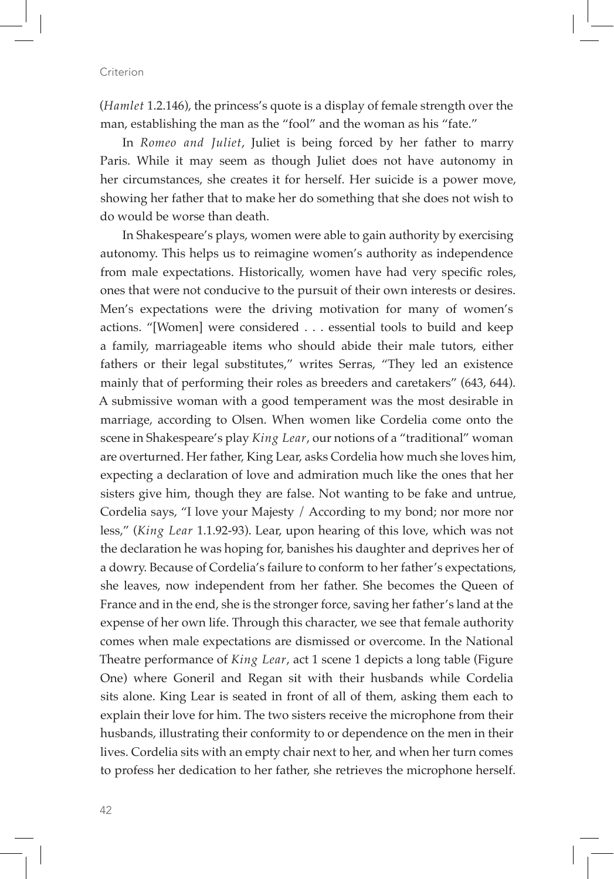(*Hamlet* 1.2.146), the princess's quote is a display of female strength over the man, establishing the man as the "fool" and the woman as his "fate."

In *Romeo and Juliet*, Juliet is being forced by her father to marry Paris. While it may seem as though Juliet does not have autonomy in her circumstances, she creates it for herself. Her suicide is a power move, showing her father that to make her do something that she does not wish to do would be worse than death.

In Shakespeare's plays, women were able to gain authority by exercising autonomy. This helps us to reimagine women's authority as independence from male expectations. Historically, women have had very specific roles, ones that were not conducive to the pursuit of their own interests or desires. Men's expectations were the driving motivation for many of women's actions. "[Women] were considered . . . essential tools to build and keep a family, marriageable items who should abide their male tutors, either fathers or their legal substitutes," writes Serras, "They led an existence mainly that of performing their roles as breeders and caretakers" (643, 644). A submissive woman with a good temperament was the most desirable in marriage, according to Olsen. When women like Cordelia come onto the scene in Shakespeare's play *King Lear*, our notions of a "traditional" woman are overturned. Her father, King Lear, asks Cordelia how much she loves him, expecting a declaration of love and admiration much like the ones that her sisters give him, though they are false. Not wanting to be fake and untrue, Cordelia says, "I love your Majesty / According to my bond; nor more nor less," (*King Lear* 1.1.92-93). Lear, upon hearing of this love, which was not the declaration he was hoping for, banishes his daughter and deprives her of a dowry. Because of Cordelia's failure to conform to her father's expectations, she leaves, now independent from her father. She becomes the Queen of France and in the end, she is the stronger force, saving her father's land at the expense of her own life. Through this character, we see that female authority comes when male expectations are dismissed or overcome. In the National Theatre performance of *King Lear*, act 1 scene 1 depicts a long table (Figure One) where Goneril and Regan sit with their husbands while Cordelia sits alone. King Lear is seated in front of all of them, asking them each to explain their love for him. The two sisters receive the microphone from their husbands, illustrating their conformity to or dependence on the men in their lives. Cordelia sits with an empty chair next to her, and when her turn comes to profess her dedication to her father, she retrieves the microphone herself.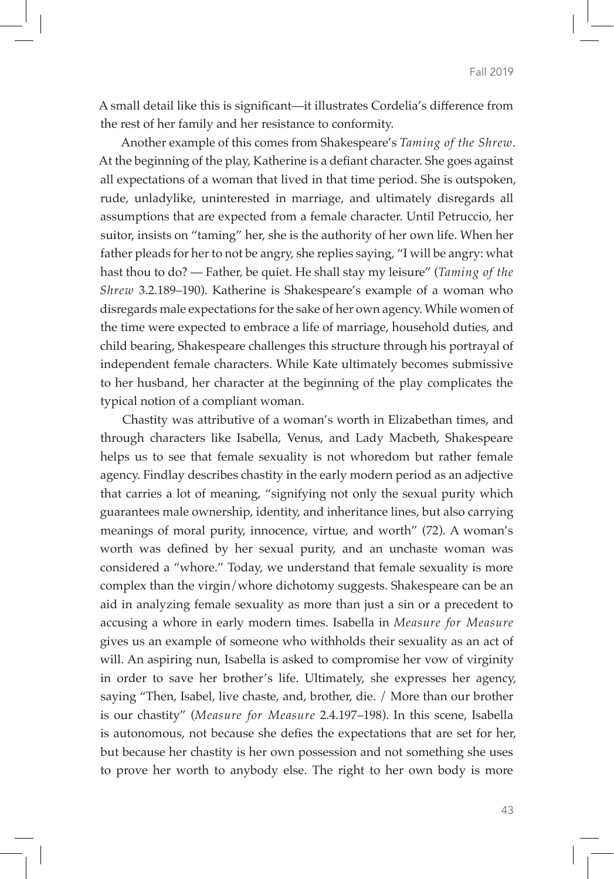A small detail like this is significant—it illustrates Cordelia's difference from the rest of her family and her resistance to conformity.

Another example of this comes from Shakespeare's *Taming of the Shrew*. At the beginning of the play, Katherine is a defiant character. She goes against all expectations of a woman that lived in that time period. She is outspoken, rude, unladylike, uninterested in marriage, and ultimately disregards all assumptions that are expected from a female character. Until Petruccio, her suitor, insists on "taming" her, she is the authority of her own life. When her father pleads for her to not be angry, she replies saying, "I will be angry: what hast thou to do? — Father, be quiet. He shall stay my leisure" (*Taming of the Shrew* 3.2.189–190). Katherine is Shakespeare's example of a woman who disregards male expectations for the sake of her own agency. While women of the time were expected to embrace a life of marriage, household duties, and child bearing, Shakespeare challenges this structure through his portrayal of independent female characters. While Kate ultimately becomes submissive to her husband, her character at the beginning of the play complicates the typical notion of a compliant woman.

Chastity was attributive of a woman's worth in Elizabethan times, and through characters like Isabella, Venus, and Lady Macbeth, Shakespeare helps us to see that female sexuality is not whoredom but rather female agency. Findlay describes chastity in the early modern period as an adjective that carries a lot of meaning, "signifying not only the sexual purity which guarantees male ownership, identity, and inheritance lines, but also carrying meanings of moral purity, innocence, virtue, and worth" (72). A woman's worth was defined by her sexual purity, and an unchaste woman was considered a "whore." Today, we understand that female sexuality is more complex than the virgin/whore dichotomy suggests. Shakespeare can be an aid in analyzing female sexuality as more than just a sin or a precedent to accusing a whore in early modern times. Isabella in *Measure for Measure*  gives us an example of someone who withholds their sexuality as an act of will. An aspiring nun, Isabella is asked to compromise her vow of virginity in order to save her brother's life. Ultimately, she expresses her agency, saying "Then, Isabel, live chaste, and, brother, die. / More than our brother is our chastity" (*Measure for Measure* 2.4.197–198). In this scene, Isabella is autonomous, not because she defies the expectations that are set for her, but because her chastity is her own possession and not something she uses to prove her worth to anybody else. The right to her own body is more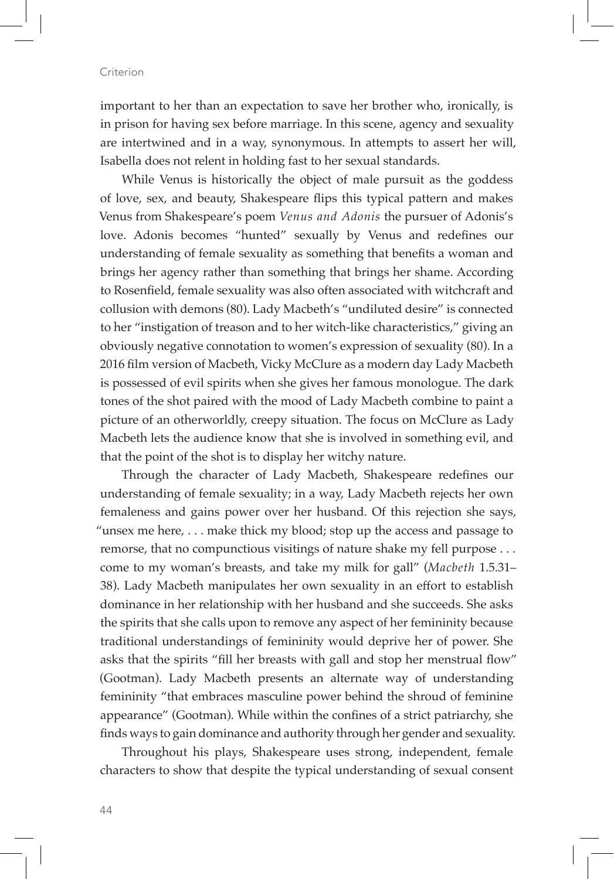important to her than an expectation to save her brother who, ironically, is in prison for having sex before marriage. In this scene, agency and sexuality are intertwined and in a way, synonymous. In attempts to assert her will, Isabella does not relent in holding fast to her sexual standards.

While Venus is historically the object of male pursuit as the goddess of love, sex, and beauty, Shakespeare flips this typical pattern and makes Venus from Shakespeare's poem *Venus and Adonis* the pursuer of Adonis's love. Adonis becomes "hunted" sexually by Venus and redefines our understanding of female sexuality as something that benefits a woman and brings her agency rather than something that brings her shame. According to Rosenfield, female sexuality was also often associated with witchcraft and collusion with demons (80). Lady Macbeth's "undiluted desire" is connected to her "instigation of treason and to her witch-like characteristics," giving an obviously negative connotation to women's expression of sexuality (80). In a 2016 film version of Macbeth, Vicky McClure as a modern day Lady Macbeth is possessed of evil spirits when she gives her famous monologue. The dark tones of the shot paired with the mood of Lady Macbeth combine to paint a picture of an otherworldly, creepy situation. The focus on McClure as Lady Macbeth lets the audience know that she is involved in something evil, and that the point of the shot is to display her witchy nature.

Through the character of Lady Macbeth, Shakespeare redefines our understanding of female sexuality; in a way, Lady Macbeth rejects her own femaleness and gains power over her husband. Of this rejection she says, "unsex me here, . . . make thick my blood; stop up the access and passage to remorse, that no compunctious visitings of nature shake my fell purpose . . . come to my woman's breasts, and take my milk for gall" (*Macbeth* 1.5.31– 38). Lady Macbeth manipulates her own sexuality in an effort to establish dominance in her relationship with her husband and she succeeds. She asks the spirits that she calls upon to remove any aspect of her femininity because traditional understandings of femininity would deprive her of power. She asks that the spirits "fill her breasts with gall and stop her menstrual flow" (Gootman). Lady Macbeth presents an alternate way of understanding femininity "that embraces masculine power behind the shroud of feminine appearance" (Gootman). While within the confines of a strict patriarchy, she finds ways to gain dominance and authority through her gender and sexuality.

Throughout his plays, Shakespeare uses strong, independent, female characters to show that despite the typical understanding of sexual consent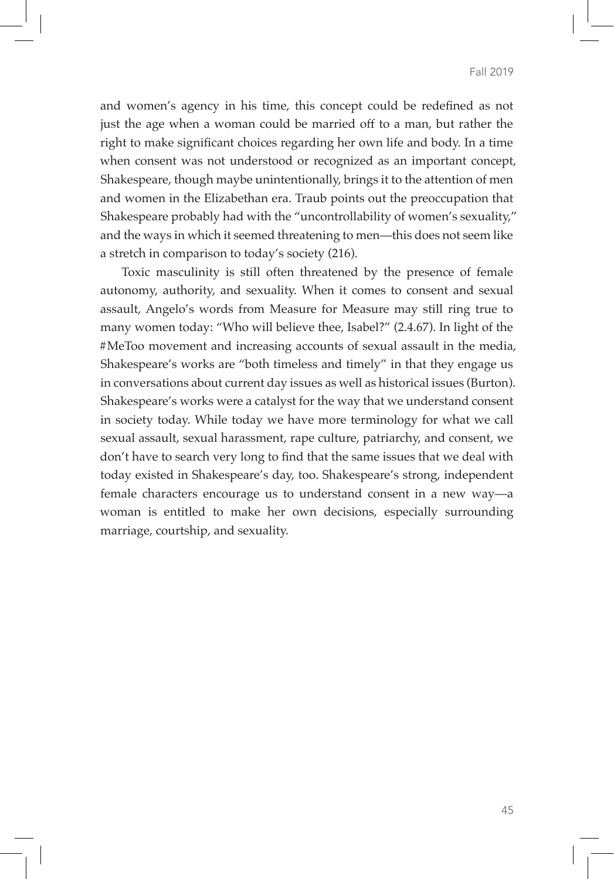and women's agency in his time, this concept could be redefined as not just the age when a woman could be married off to a man, but rather the right to make significant choices regarding her own life and body. In a time when consent was not understood or recognized as an important concept, Shakespeare, though maybe unintentionally, brings it to the attention of men and women in the Elizabethan era. Traub points out the preoccupation that Shakespeare probably had with the "uncontrollability of women's sexuality," and the ways in which it seemed threatening to men—this does not seem like a stretch in comparison to today's society (216).

Toxic masculinity is still often threatened by the presence of female autonomy, authority, and sexuality. When it comes to consent and sexual assault, Angelo's words from Measure for Measure may still ring true to many women today: "Who will believe thee, Isabel?" (2.4.67). In light of the #MeToo movement and increasing accounts of sexual assault in the media, Shakespeare's works are "both timeless and timely" in that they engage us in conversations about current day issues as well as historical issues (Burton). Shakespeare's works were a catalyst for the way that we understand consent in society today. While today we have more terminology for what we call sexual assault, sexual harassment, rape culture, patriarchy, and consent, we don't have to search very long to find that the same issues that we deal with today existed in Shakespeare's day, too. Shakespeare's strong, independent female characters encourage us to understand consent in a new way—a woman is entitled to make her own decisions, especially surrounding marriage, courtship, and sexuality.